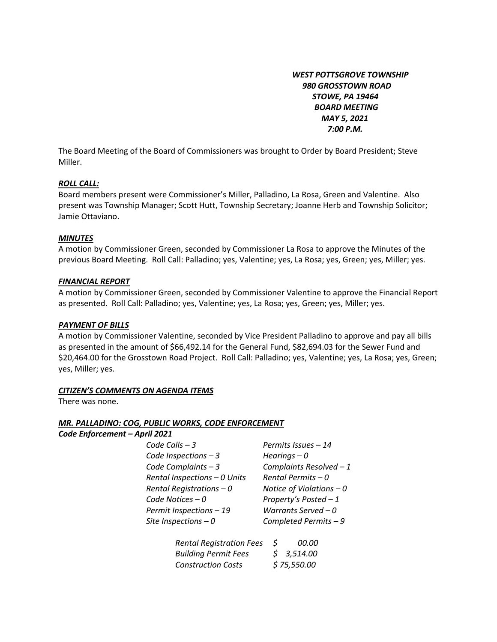*WEST POTTSGROVE TOWNSHIP 980 GROSSTOWN ROAD STOWE, PA 19464 BOARD MEETING MAY 5, 2021 7:00 P.M.* 

The Board Meeting of the Board of Commissioners was brought to Order by Board President; Steve Miller.

### *ROLL CALL:*

Board members present were Commissioner's Miller, Palladino, La Rosa, Green and Valentine. Also present was Township Manager; Scott Hutt, Township Secretary; Joanne Herb and Township Solicitor; Jamie Ottaviano.

## *MINUTES*

A motion by Commissioner Green, seconded by Commissioner La Rosa to approve the Minutes of the previous Board Meeting. Roll Call: Palladino; yes, Valentine; yes, La Rosa; yes, Green; yes, Miller; yes.

## *FINANCIAL REPORT*

A motion by Commissioner Green, seconded by Commissioner Valentine to approve the Financial Report as presented. Roll Call: Palladino; yes, Valentine; yes, La Rosa; yes, Green; yes, Miller; yes.

## *PAYMENT OF BILLS*

A motion by Commissioner Valentine, seconded by Vice President Palladino to approve and pay all bills as presented in the amount of \$66,492.14 for the General Fund, \$82,694.03 for the Sewer Fund and \$20,464.00 for the Grosstown Road Project. Roll Call: Palladino; yes, Valentine; yes, La Rosa; yes, Green; yes, Miller; yes.

# *CITIZEN'S COMMENTS ON AGENDA ITEMS*

There was none.

### *MR. PALLADINO: COG, PUBLIC WORKS, CODE ENFORCEMENT*   $Code$  *Enforcement*

| IT – APIII 2021              |                             |
|------------------------------|-----------------------------|
| Code Calls $-3$              | Permits Issues - 14         |
| Code Inspections $-3$        | Hearings $-0$               |
| Code Complaints - 3          | <b>Complaints Resolve</b>   |
| Rental Inspections - 0 Units | Rental Permits $-0$         |
| Rental Registrations $-0$    | <b>Notice of Violations</b> |
| Code Notices - 0             | Property's Posted -         |
|                              |                             |

*Code Inspections – 3 Hearings – 0 Code Complaints – 3 Complaints Resolved – 1 Rental Inspections – 0 Units Rental Permits – 0 Rental Registrations – 0 Notice of Violations – 0 Code Notices – 0 Property's Posted – 1 Permit Inspections – 19 Warrants Served – 0 Site Inspections – 0 Completed Permits – 9* 

| <b>Rental Registration Fees</b> | S           | 00.00      |
|---------------------------------|-------------|------------|
| <b>Building Permit Fees</b>     |             | \$3,514.00 |
| <b>Construction Costs</b>       | \$75,550.00 |            |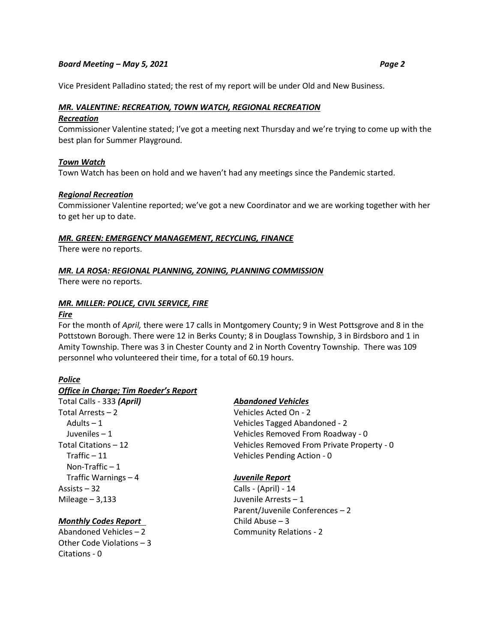Vice President Palladino stated; the rest of my report will be under Old and New Business.

## *MR. VALENTINE: RECREATION, TOWN WATCH, REGIONAL RECREATION*

#### *Recreation*

Commissioner Valentine stated; I've got a meeting next Thursday and we're trying to come up with the best plan for Summer Playground.

### *Town Watch*

Town Watch has been on hold and we haven't had any meetings since the Pandemic started.

#### *Regional Recreation*

Commissioner Valentine reported; we've got a new Coordinator and we are working together with her to get her up to date.

#### *MR. GREEN: EMERGENCY MANAGEMENT, RECYCLING, FINANCE*

There were no reports.

### *MR. LA ROSA: REGIONAL PLANNING, ZONING, PLANNING COMMISSION*

There were no reports.

### *MR. MILLER: POLICE, CIVIL SERVICE, FIRE*

#### *Fire*

For the month of *April,* there were 17 calls in Montgomery County; 9 in West Pottsgrove and 8 in the Pottstown Borough. There were 12 in Berks County; 8 in Douglass Township, 3 in Birdsboro and 1 in Amity Township. There was 3 in Chester County and 2 in North Coventry Township. There was 109 personnel who volunteered their time, for a total of 60.19 hours.

## *Police*

### *Office in Charge; Tim Roeder's Report*

Total Calls - 333 *(April) Abandoned Vehicles* Total Arrests – 2 Vehicles Acted On - 2 Traffic – 11 Vehicles Pending Action - 0 Non-Traffic  $-1$  Traffic Warnings – 4 *Juvenile Report* Assists – 32 Calls - (April) - 14 Mileage – 3,133 Juvenile Arrests – 1

# *Monthly Codes Report* Child Abuse – 3

Other Code Violations – 3 Citations - 0

 Adults – 1 Vehicles Tagged Abandoned - 2 Juveniles – 1 Vehicles Removed From Roadway - 0 Total Citations – 12 Vehicles Removed From Private Property - 0

Parent/Juvenile Conferences – 2 Abandoned Vehicles – 2 Community Relations - 2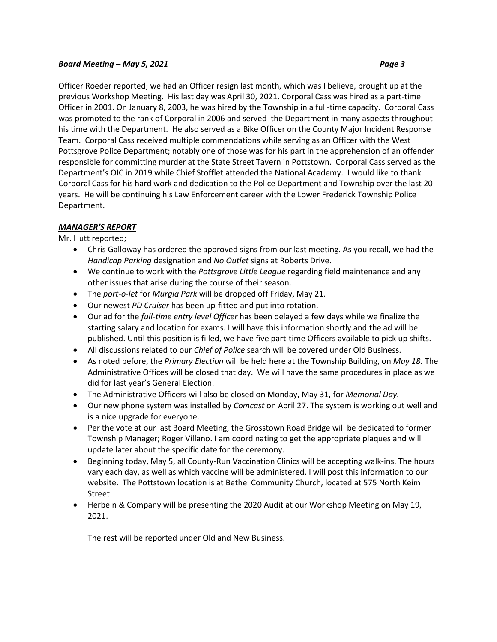Officer Roeder reported; we had an Officer resign last month, which was I believe, brought up at the previous Workshop Meeting. His last day was April 30, 2021. Corporal Cass was hired as a part-time Officer in 2001. On January 8, 2003, he was hired by the Township in a full-time capacity. Corporal Cass was promoted to the rank of Corporal in 2006 and served the Department in many aspects throughout his time with the Department. He also served as a Bike Officer on the County Major Incident Response Team. Corporal Cass received multiple commendations while serving as an Officer with the West Pottsgrove Police Department; notably one of those was for his part in the apprehension of an offender responsible for committing murder at the State Street Tavern in Pottstown. Corporal Cass served as the Department's OIC in 2019 while Chief Stofflet attended the National Academy. I would like to thank Corporal Cass for his hard work and dedication to the Police Department and Township over the last 20 years. He will be continuing his Law Enforcement career with the Lower Frederick Township Police Department.

# *MANAGER'S REPORT*

Mr. Hutt reported;

- Chris Galloway has ordered the approved signs from our last meeting. As you recall, we had the *Handicap Parking* designation and *No Outlet* signs at Roberts Drive.
- We continue to work with the *Pottsgrove Little League* regarding field maintenance and any other issues that arise during the course of their season.
- The *port-o-let* for *Murgia Park* will be dropped off Friday, May 21.
- Our newest *PD Cruiser* has been up-fitted and put into rotation.
- Our ad for the *full-time entry level Officer* has been delayed a few days while we finalize the starting salary and location for exams. I will have this information shortly and the ad will be published. Until this position is filled, we have five part-time Officers available to pick up shifts.
- All discussions related to our *Chief of Police* search will be covered under Old Business.
- As noted before, the *Primary Election* will be held here at the Township Building, on *May 18.* The Administrative Offices will be closed that day. We will have the same procedures in place as we did for last year's General Election.
- The Administrative Officers will also be closed on Monday, May 31, for *Memorial Day.*
- Our new phone system was installed by *Comcast* on April 27. The system is working out well and is a nice upgrade for everyone.
- Per the vote at our last Board Meeting, the Grosstown Road Bridge will be dedicated to former Township Manager; Roger Villano. I am coordinating to get the appropriate plaques and will update later about the specific date for the ceremony.
- Beginning today, May 5, all County-Run Vaccination Clinics will be accepting walk-ins. The hours vary each day, as well as which vaccine will be administered. I will post this information to our website. The Pottstown location is at Bethel Community Church, located at 575 North Keim Street.
- Herbein & Company will be presenting the 2020 Audit at our Workshop Meeting on May 19, 2021.

The rest will be reported under Old and New Business.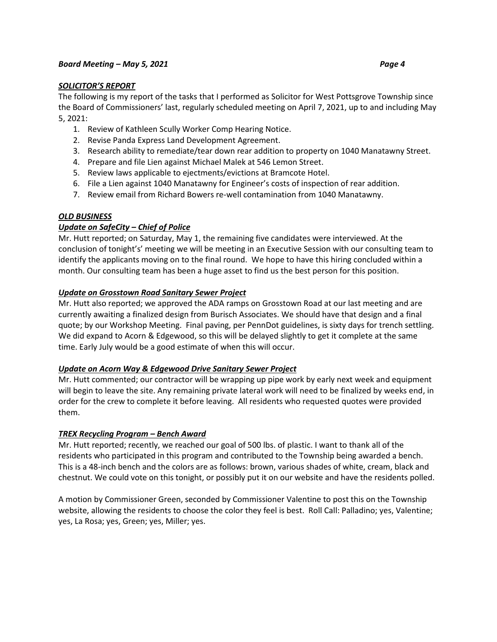## *SOLICITOR'S REPORT*

The following is my report of the tasks that I performed as Solicitor for West Pottsgrove Township since the Board of Commissioners' last, regularly scheduled meeting on April 7, 2021, up to and including May 5, 2021:

- 1. Review of Kathleen Scully Worker Comp Hearing Notice.
- 2. Revise Panda Express Land Development Agreement.
- 3. Research ability to remediate/tear down rear addition to property on 1040 Manatawny Street.
- 4. Prepare and file Lien against Michael Malek at 546 Lemon Street.
- 5. Review laws applicable to ejectments/evictions at Bramcote Hotel.
- 6. File a Lien against 1040 Manatawny for Engineer's costs of inspection of rear addition.
- 7. Review email from Richard Bowers re-well contamination from 1040 Manatawny.

# *OLD BUSINESS*

## *Update on SafeCity – Chief of Police*

Mr. Hutt reported; on Saturday, May 1, the remaining five candidates were interviewed. At the conclusion of tonight's' meeting we will be meeting in an Executive Session with our consulting team to identify the applicants moving on to the final round. We hope to have this hiring concluded within a month. Our consulting team has been a huge asset to find us the best person for this position.

## *Update on Grosstown Road Sanitary Sewer Project*

Mr. Hutt also reported; we approved the ADA ramps on Grosstown Road at our last meeting and are currently awaiting a finalized design from Burisch Associates. We should have that design and a final quote; by our Workshop Meeting. Final paving, per PennDot guidelines, is sixty days for trench settling. We did expand to Acorn & Edgewood, so this will be delayed slightly to get it complete at the same time. Early July would be a good estimate of when this will occur.

### *Update on Acorn Way & Edgewood Drive Sanitary Sewer Project*

Mr. Hutt commented; our contractor will be wrapping up pipe work by early next week and equipment will begin to leave the site. Any remaining private lateral work will need to be finalized by weeks end, in order for the crew to complete it before leaving. All residents who requested quotes were provided them.

### *TREX Recycling Program – Bench Award*

Mr. Hutt reported; recently, we reached our goal of 500 lbs. of plastic. I want to thank all of the residents who participated in this program and contributed to the Township being awarded a bench. This is a 48-inch bench and the colors are as follows: brown, various shades of white, cream, black and chestnut. We could vote on this tonight, or possibly put it on our website and have the residents polled.

A motion by Commissioner Green, seconded by Commissioner Valentine to post this on the Township website, allowing the residents to choose the color they feel is best. Roll Call: Palladino; yes, Valentine; yes, La Rosa; yes, Green; yes, Miller; yes.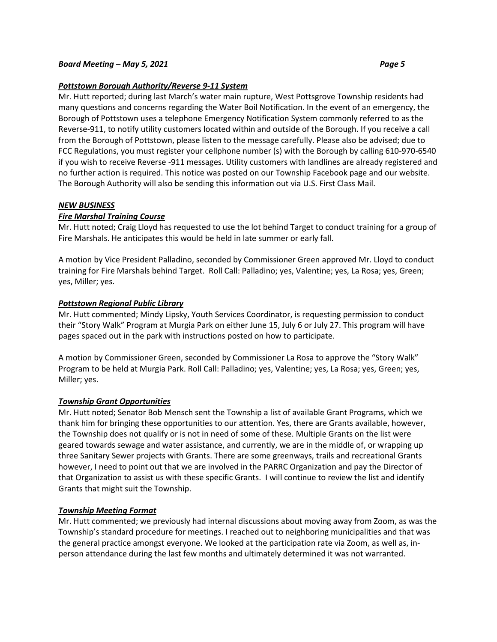## *Pottstown Borough Authority/Reverse 9-11 System*

Mr. Hutt reported; during last March's water main rupture, West Pottsgrove Township residents had many questions and concerns regarding the Water Boil Notification. In the event of an emergency, the Borough of Pottstown uses a telephone Emergency Notification System commonly referred to as the Reverse-911, to notify utility customers located within and outside of the Borough. If you receive a call from the Borough of Pottstown, please listen to the message carefully. Please also be advised; due to FCC Regulations, you must register your cellphone number (s) with the Borough by calling 610-970-6540 if you wish to receive Reverse -911 messages. Utility customers with landlines are already registered and no further action is required. This notice was posted on our Township Facebook page and our website. The Borough Authority will also be sending this information out via U.S. First Class Mail.

## *NEW BUSINESS*

## *Fire Marshal Training Course*

Mr. Hutt noted; Craig Lloyd has requested to use the lot behind Target to conduct training for a group of Fire Marshals. He anticipates this would be held in late summer or early fall.

A motion by Vice President Palladino, seconded by Commissioner Green approved Mr. Lloyd to conduct training for Fire Marshals behind Target. Roll Call: Palladino; yes, Valentine; yes, La Rosa; yes, Green; yes, Miller; yes.

## *Pottstown Regional Public Library*

Mr. Hutt commented; Mindy Lipsky, Youth Services Coordinator, is requesting permission to conduct their "Story Walk" Program at Murgia Park on either June 15, July 6 or July 27. This program will have pages spaced out in the park with instructions posted on how to participate.

A motion by Commissioner Green, seconded by Commissioner La Rosa to approve the "Story Walk" Program to be held at Murgia Park. Roll Call: Palladino; yes, Valentine; yes, La Rosa; yes, Green; yes, Miller; yes.

### *Township Grant Opportunities*

Mr. Hutt noted; Senator Bob Mensch sent the Township a list of available Grant Programs, which we thank him for bringing these opportunities to our attention. Yes, there are Grants available, however, the Township does not qualify or is not in need of some of these. Multiple Grants on the list were geared towards sewage and water assistance, and currently, we are in the middle of, or wrapping up three Sanitary Sewer projects with Grants. There are some greenways, trails and recreational Grants however, I need to point out that we are involved in the PARRC Organization and pay the Director of that Organization to assist us with these specific Grants. I will continue to review the list and identify Grants that might suit the Township.

### *Township Meeting Format*

Mr. Hutt commented; we previously had internal discussions about moving away from Zoom, as was the Township's standard procedure for meetings. I reached out to neighboring municipalities and that was the general practice amongst everyone. We looked at the participation rate via Zoom, as well as, inperson attendance during the last few months and ultimately determined it was not warranted.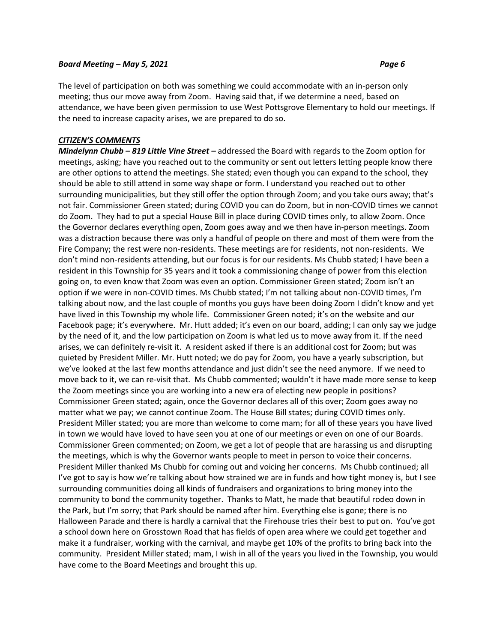The level of participation on both was something we could accommodate with an in-person only meeting; thus our move away from Zoom. Having said that, if we determine a need, based on attendance, we have been given permission to use West Pottsgrove Elementary to hold our meetings. If the need to increase capacity arises, we are prepared to do so.

### *CITIZEN'S COMMENTS*

*Mindelynn Chubb – 819 Little Vine Street –* addressed the Board with regards to the Zoom option for meetings, asking; have you reached out to the community or sent out letters letting people know there are other options to attend the meetings. She stated; even though you can expand to the school, they should be able to still attend in some way shape or form. I understand you reached out to other surrounding municipalities, but they still offer the option through Zoom; and you take ours away; that's not fair. Commissioner Green stated; during COVID you can do Zoom, but in non-COVID times we cannot do Zoom. They had to put a special House Bill in place during COVID times only, to allow Zoom. Once the Governor declares everything open, Zoom goes away and we then have in-person meetings. Zoom was a distraction because there was only a handful of people on there and most of them were from the Fire Company; the rest were non-residents. These meetings are for residents, not non-residents. We don't mind non-residents attending, but our focus is for our residents. Ms Chubb stated; I have been a resident in this Township for 35 years and it took a commissioning change of power from this election going on, to even know that Zoom was even an option. Commissioner Green stated; Zoom isn't an option if we were in non-COVID times. Ms Chubb stated; I'm not talking about non-COVID times, I'm talking about now, and the last couple of months you guys have been doing Zoom I didn't know and yet have lived in this Township my whole life. Commissioner Green noted; it's on the website and our Facebook page; it's everywhere. Mr. Hutt added; it's even on our board, adding; I can only say we judge by the need of it, and the low participation on Zoom is what led us to move away from it. If the need arises, we can definitely re-visit it. A resident asked if there is an additional cost for Zoom; but was quieted by President Miller. Mr. Hutt noted; we do pay for Zoom, you have a yearly subscription, but we've looked at the last few months attendance and just didn't see the need anymore. If we need to move back to it, we can re-visit that. Ms Chubb commented; wouldn't it have made more sense to keep the Zoom meetings since you are working into a new era of electing new people in positions? Commissioner Green stated; again, once the Governor declares all of this over; Zoom goes away no matter what we pay; we cannot continue Zoom. The House Bill states; during COVID times only. President Miller stated; you are more than welcome to come mam; for all of these years you have lived in town we would have loved to have seen you at one of our meetings or even on one of our Boards. Commissioner Green commented; on Zoom, we get a lot of people that are harassing us and disrupting the meetings, which is why the Governor wants people to meet in person to voice their concerns. President Miller thanked Ms Chubb for coming out and voicing her concerns. Ms Chubb continued; all I've got to say is how we're talking about how strained we are in funds and how tight money is, but I see surrounding communities doing all kinds of fundraisers and organizations to bring money into the community to bond the community together. Thanks to Matt, he made that beautiful rodeo down in the Park, but I'm sorry; that Park should be named after him. Everything else is gone; there is no Halloween Parade and there is hardly a carnival that the Firehouse tries their best to put on. You've got a school down here on Grosstown Road that has fields of open area where we could get together and make it a fundraiser, working with the carnival, and maybe get 10% of the profits to bring back into the community. President Miller stated; mam, I wish in all of the years you lived in the Township, you would have come to the Board Meetings and brought this up.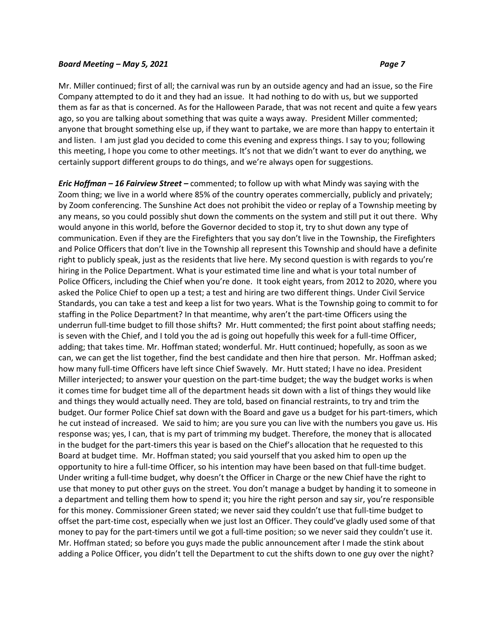Mr. Miller continued; first of all; the carnival was run by an outside agency and had an issue, so the Fire Company attempted to do it and they had an issue. It had nothing to do with us, but we supported them as far as that is concerned. As for the Halloween Parade, that was not recent and quite a few years ago, so you are talking about something that was quite a ways away. President Miller commented; anyone that brought something else up, if they want to partake, we are more than happy to entertain it and listen. I am just glad you decided to come this evening and express things. I say to you; following this meeting, I hope you come to other meetings. It's not that we didn't want to ever do anything, we certainly support different groups to do things, and we're always open for suggestions.

*Eric Hoffman – 16 Fairview Street –* commented; to follow up with what Mindy was saying with the Zoom thing; we live in a world where 85% of the country operates commercially, publicly and privately; by Zoom conferencing. The Sunshine Act does not prohibit the video or replay of a Township meeting by any means, so you could possibly shut down the comments on the system and still put it out there. Why would anyone in this world, before the Governor decided to stop it, try to shut down any type of communication. Even if they are the Firefighters that you say don't live in the Township, the Firefighters and Police Officers that don't live in the Township all represent this Township and should have a definite right to publicly speak, just as the residents that live here. My second question is with regards to you're hiring in the Police Department. What is your estimated time line and what is your total number of Police Officers, including the Chief when you're done. It took eight years, from 2012 to 2020, where you asked the Police Chief to open up a test; a test and hiring are two different things. Under Civil Service Standards, you can take a test and keep a list for two years. What is the Township going to commit to for staffing in the Police Department? In that meantime, why aren't the part-time Officers using the underrun full-time budget to fill those shifts? Mr. Hutt commented; the first point about staffing needs; is seven with the Chief, and I told you the ad is going out hopefully this week for a full-time Officer, adding; that takes time. Mr. Hoffman stated; wonderful. Mr. Hutt continued; hopefully, as soon as we can, we can get the list together, find the best candidate and then hire that person. Mr. Hoffman asked; how many full-time Officers have left since Chief Swavely. Mr. Hutt stated; I have no idea. President Miller interjected; to answer your question on the part-time budget; the way the budget works is when it comes time for budget time all of the department heads sit down with a list of things they would like and things they would actually need. They are told, based on financial restraints, to try and trim the budget. Our former Police Chief sat down with the Board and gave us a budget for his part-timers, which he cut instead of increased. We said to him; are you sure you can live with the numbers you gave us. His response was; yes, I can, that is my part of trimming my budget. Therefore, the money that is allocated in the budget for the part-timers this year is based on the Chief's allocation that he requested to this Board at budget time. Mr. Hoffman stated; you said yourself that you asked him to open up the opportunity to hire a full-time Officer, so his intention may have been based on that full-time budget. Under writing a full-time budget, why doesn't the Officer in Charge or the new Chief have the right to use that money to put other guys on the street. You don't manage a budget by handing it to someone in a department and telling them how to spend it; you hire the right person and say sir, you're responsible for this money. Commissioner Green stated; we never said they couldn't use that full-time budget to offset the part-time cost, especially when we just lost an Officer. They could've gladly used some of that money to pay for the part-timers until we got a full-time position; so we never said they couldn't use it. Mr. Hoffman stated; so before you guys made the public announcement after I made the stink about adding a Police Officer, you didn't tell the Department to cut the shifts down to one guy over the night?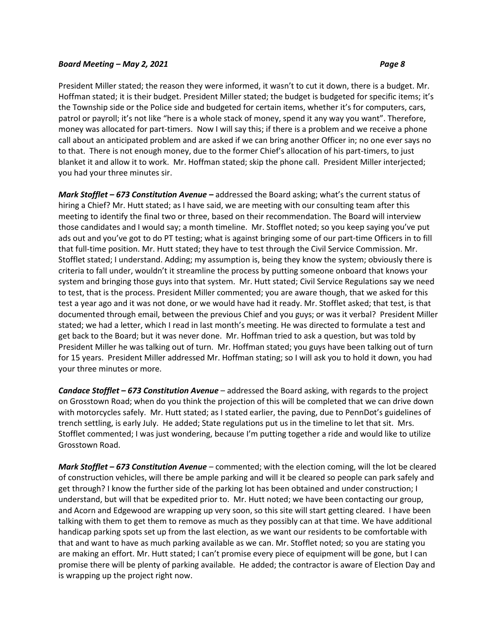President Miller stated; the reason they were informed, it wasn't to cut it down, there is a budget. Mr. Hoffman stated; it is their budget. President Miller stated; the budget is budgeted for specific items; it's the Township side or the Police side and budgeted for certain items, whether it's for computers, cars, patrol or payroll; it's not like "here is a whole stack of money, spend it any way you want". Therefore, money was allocated for part-timers. Now I will say this; if there is a problem and we receive a phone call about an anticipated problem and are asked if we can bring another Officer in; no one ever says no to that. There is not enough money, due to the former Chief's allocation of his part-timers, to just blanket it and allow it to work. Mr. Hoffman stated; skip the phone call. President Miller interjected; you had your three minutes sir.

*Mark Stofflet – 673 Constitution Avenue –* addressed the Board asking; what's the current status of hiring a Chief? Mr. Hutt stated; as I have said, we are meeting with our consulting team after this meeting to identify the final two or three, based on their recommendation. The Board will interview those candidates and I would say; a month timeline. Mr. Stofflet noted; so you keep saying you've put ads out and you've got to do PT testing; what is against bringing some of our part-time Officers in to fill that full-time position. Mr. Hutt stated; they have to test through the Civil Service Commission. Mr. Stofflet stated; I understand. Adding; my assumption is, being they know the system; obviously there is criteria to fall under, wouldn't it streamline the process by putting someone onboard that knows your system and bringing those guys into that system. Mr. Hutt stated; Civil Service Regulations say we need to test, that is the process. President Miller commented; you are aware though, that we asked for this test a year ago and it was not done, or we would have had it ready. Mr. Stofflet asked; that test, is that documented through email, between the previous Chief and you guys; or was it verbal? President Miller stated; we had a letter, which I read in last month's meeting. He was directed to formulate a test and get back to the Board; but it was never done. Mr. Hoffman tried to ask a question, but was told by President Miller he was talking out of turn. Mr. Hoffman stated; you guys have been talking out of turn for 15 years. President Miller addressed Mr. Hoffman stating; so I will ask you to hold it down, you had your three minutes or more.

*Candace Stofflet – 673 Constitution Avenue* – addressed the Board asking, with regards to the project on Grosstown Road; when do you think the projection of this will be completed that we can drive down with motorcycles safely. Mr. Hutt stated; as I stated earlier, the paving, due to PennDot's guidelines of trench settling, is early July. He added; State regulations put us in the timeline to let that sit. Mrs. Stofflet commented; I was just wondering, because I'm putting together a ride and would like to utilize Grosstown Road.

*Mark Stofflet – 673 Constitution Avenue* – commented; with the election coming, will the lot be cleared of construction vehicles, will there be ample parking and will it be cleared so people can park safely and get through? I know the further side of the parking lot has been obtained and under construction; I understand, but will that be expedited prior to. Mr. Hutt noted; we have been contacting our group, and Acorn and Edgewood are wrapping up very soon, so this site will start getting cleared. I have been talking with them to get them to remove as much as they possibly can at that time. We have additional handicap parking spots set up from the last election, as we want our residents to be comfortable with that and want to have as much parking available as we can. Mr. Stofflet noted; so you are stating you are making an effort. Mr. Hutt stated; I can't promise every piece of equipment will be gone, but I can promise there will be plenty of parking available. He added; the contractor is aware of Election Day and is wrapping up the project right now.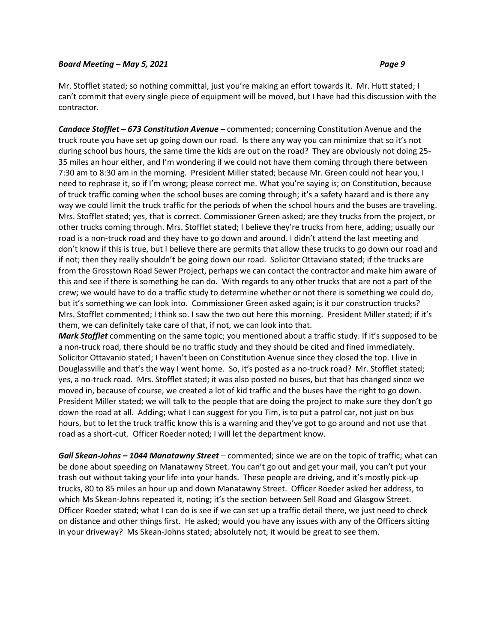# Mr. Stofflet stated; so nothing committal, just you're making an effort towards it. Mr. Hutt stated; I can't commit that every single piece of equipment will be moved, but I have had this discussion with the contractor.

*Candace Stofflet – 673 Constitution Avenue –* commented; concerning Constitution Avenue and the truck route you have set up going down our road. Is there any way you can minimize that so it's not during school bus hours, the same time the kids are out on the road? They are obviously not doing 25- 35 miles an hour either, and I'm wondering if we could not have them coming through there between 7:30 am to 8:30 am in the morning. President Miller stated; because Mr. Green could not hear you, I need to rephrase it, so if I'm wrong; please correct me. What you're saying is; on Constitution, because of truck traffic coming when the school buses are coming through; it's a safety hazard and is there any way we could limit the truck traffic for the periods of when the school hours and the buses are traveling. Mrs. Stofflet stated; yes, that is correct. Commissioner Green asked; are they trucks from the project, or other trucks coming through. Mrs. Stofflet stated; I believe they're trucks from here, adding; usually our road is a non-truck road and they have to go down and around. I didn't attend the last meeting and don't know if this is true, but I believe there are permits that allow these trucks to go down our road and if not; then they really shouldn't be going down our road. Solicitor Ottaviano stated; if the trucks are from the Grosstown Road Sewer Project, perhaps we can contact the contractor and make him aware of this and see if there is something he can do. With regards to any other trucks that are not a part of the crew; we would have to do a traffic study to determine whether or not there is something we could do, but it's something we can look into. Commissioner Green asked again; is it our construction trucks? Mrs. Stofflet commented; I think so. I saw the two out here this morning. President Miller stated; if it's them, we can definitely take care of that, if not, we can look into that.

*Mark Stofflet* commenting on the same topic; you mentioned about a traffic study. If it's supposed to be a non-truck road, there should be no traffic study and they should be cited and fined immediately. Solicitor Ottavanio stated; I haven't been on Constitution Avenue since they closed the top. I live in Douglassville and that's the way I went home. So, it's posted as a no-truck road? Mr. Stofflet stated; yes, a no-truck road. Mrs. Stofflet stated; it was also posted no buses, but that has changed since we moved in, because of course, we created a lot of kid traffic and the buses have the right to go down. President Miller stated; we will talk to the people that are doing the project to make sure they don't go down the road at all. Adding; what I can suggest for you Tim, is to put a patrol car, not just on bus hours, but to let the truck traffic know this is a warning and they've got to go around and not use that road as a short-cut. Officer Roeder noted; I will let the department know.

*Gail Skean-Johns – 1044 Manatawny Street* – commented; since we are on the topic of traffic; what can be done about speeding on Manatawny Street. You can't go out and get your mail, you can't put your trash out without taking your life into your hands. These people are driving, and it's mostly pick-up trucks, 80 to 85 miles an hour up and down Manatawny Street. Officer Roeder asked her address, to which Ms Skean-Johns repeated it, noting; it's the section between Sell Road and Glasgow Street. Officer Roeder stated; what I can do is see if we can set up a traffic detail there, we just need to check on distance and other things first. He asked; would you have any issues with any of the Officers sitting in your driveway? Ms Skean-Johns stated; absolutely not, it would be great to see them.